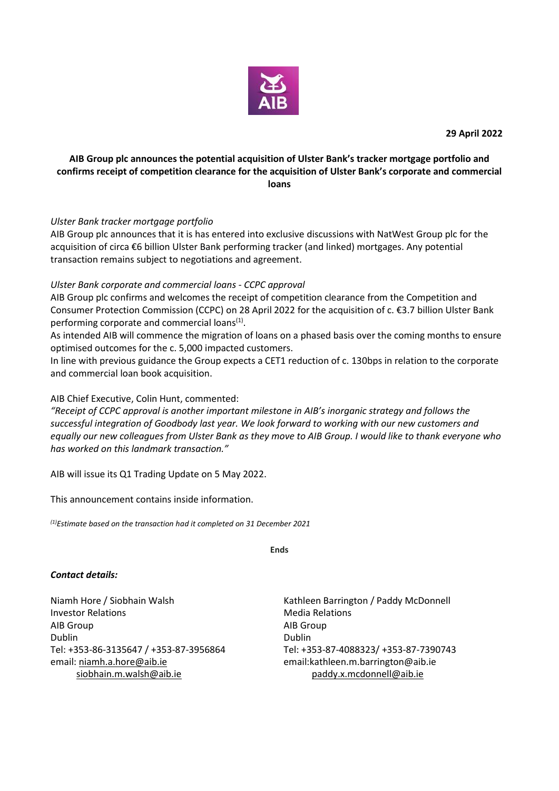![](_page_0_Picture_0.jpeg)

# **AIB Group plc announces the potential acquisition of Ulster Bank's tracker mortgage portfolio and confirms receipt of competition clearance for the acquisition of Ulster Bank's corporate and commercial loans**

## *Ulster Bank tracker mortgage portfolio*

AIB Group plc announces that it is has entered into exclusive discussions with NatWest Group plc for the acquisition of circa €6 billion Ulster Bank performing tracker (and linked) mortgages. Any potential transaction remains subject to negotiations and agreement.

# *Ulster Bank corporate and commercial loans - CCPC approval*

AIB Group plc confirms and welcomes the receipt of competition clearance from the Competition and Consumer Protection Commission (CCPC) on 28 April 2022 for the acquisition of c. €3.7 billion Ulster Bank performing corporate and commercial loans<sup>(1)</sup>.

As intended AIB will commence the migration of loans on a phased basis over the coming months to ensure optimised outcomes for the c. 5,000 impacted customers.

In line with previous guidance the Group expects a CET1 reduction of c. 130bps in relation to the corporate and commercial loan book acquisition.

AIB Chief Executive, Colin Hunt, commented:

*"Receipt of CCPC approval is another important milestone in AIB's inorganic strategy and follows the successful integration of Goodbody last year. We look forward to working with our new customers and equally our new colleagues from Ulster Bank as they move to AIB Group. I would like to thank everyone who has worked on this landmark transaction."*

AIB will issue its Q1 Trading Update on 5 May 2022.

This announcement contains inside information.

*(1)Estimate based on the transaction had it completed on 31 December 2021*

**Ends**

## *Contact details:*

Niamh Hore / Siobhain Walsh Kathleen Barrington / Paddy McDonnell Investor Relations **Media Relations** Media Relations AIB Group AIB Group Dublin Dublin Tel: +353-86-3135647 / +353-87-3956864 Tel: +353-87-4088323/ +353-87-7390743 email: [niamh.a.hore@aib.ie](mailto:niamh.a.hore@aib.ie) [siobhain.m.walsh@aib.ie](mailto:siobhain.m.walsh@aib.ie)

email:kathleen.m.barrington@aib.ie paddy.x.mcdonnell@aib.ie